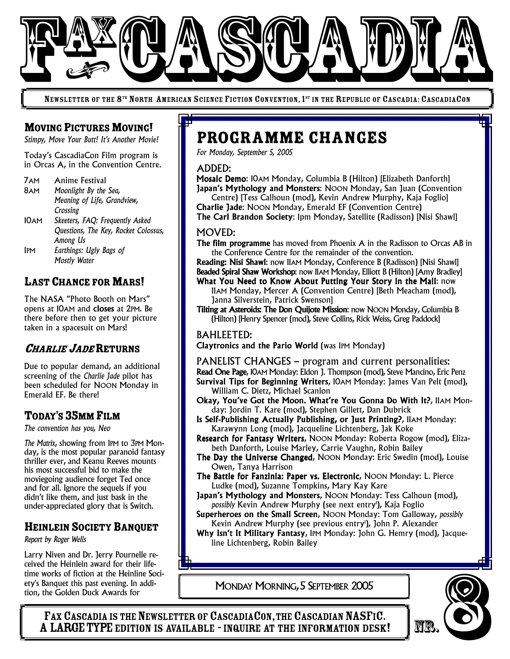

NEWSLETTER OF THE 8<sup>th</sup> North American Science Fiction Convention, 1<sup>st</sup> in the Republic of Cascadia: CascadiaCon

## **MOVING PICTURES MOVING!**

*Stimpy, Move Your Butt! It's Another Movie!*

Today's CascadiaCon Film program is in Orcas A, in the Convention Centre.

7AM Anime Festival

8AM *Moonlight By the Sea, Meaning of Life, Grandview, Crossing* 10AM *Skeeters, FAQ: Frequently Asked Questions, The Key, Rocket Colossus, Among Us* 1PM *Earthings: Ugly Bags of Mostly Water*

# LAST CHANCE FOR MARS!

The NASA "Photo Booth on Mars" opens at 10AM and closes at 2PM. Be there before then to get your picture taken in a spacesuit on Mars!

## <sup>C</sup>HARLIE <sup>J</sup>ADERETURNS

Due to popular demand, an additional screening of the *Charlie Jade* pilot has been scheduled for NOON Monday in Emerald EF. Be there!

## TODAY'S 35MM FILM

*The convention has you, Neo*

*The Matrix*, showing from 1PM to 3PM Monday, is the most popular paranoid fantasy thriller ever, and Keanu Reeves mounts his most successful bid to make the moviegoing audience forget Ted once and for all. Ignore the sequels if you didn't like them, and just bask in the under-appreciated glory that is Switch.

## HEINLEIN SOCIETY BANQUET

*Report by Roger Wells*

Larry Niven and Dr. Jerry Pournelle received the Heinlein award for their lifetime works of fiction at the Heinline Society's Banquet this past evening. In addition, the Golden Duck Awards for

# Programme Changes

*For Monday, September 5, 2005*

ADDED:

Mosaic Demo: 10AM Monday, Columbia B (Hilton) [Elizabeth Danforth] Japan's Mythology and Monsters: NOON Monday, San Juan (Convention Centre) [Tess Calhoun (mod), Kevin Andrew Murphy, Kaja Foglio]

Charlie Jade: NOON Monday, Emerald EF (Convention Centre) The Carl Brandon Society: 1pm Monday, Satellite (Radisson) [Nisi Shawl]

#### MOVED:

The film programme has moved from Phoenix A in the Radisson to Orcas AB in the Conference Centre for the remainder of the convention.

Reading: Nisi Shawl: now 11AM Monday, Conference B (Radisson) [Nisi Shawl] Beaded Spiral Shaw Workshop: now 11AM Monday, Elliott B (Hilton) [Amy Bradley]

- What You Need to Know About Putting Your Story in the Mail: now 11AM Monday, Mercer A (Convention Centre) [Beth Meacham (mod), Janna Silverstein, Patrick Swenson]
- Tilting at Asteroids: The Don Quijote Mission: now NOON Monday, Columbia B (Hilton) [Henry Spencer (mod), Steve Collins, Rick Weiss, Greg Paddock]

#### BAHLEETED:

Claytronics and the Pario World (was 1PM Monday)

PANELIST CHANGES – program and current personalities: Read One Page, 10AM Monday: Eldon J. Thompson (mod), Steve Mancino, Eric Penz Survival Tips for Beginning Writers, 10AM Monday: James Van Pelt (mod), William C. Dietz, Michael Scanlon

- Okay, You've Got the Moon. What're You Gonna Do With It?, 11AM Monday: Jordin T. Kare (mod), Stephen Gillett, Dan Dubrick
- Is Self-Publishing Actually Publishing, or Just Printing?, 11AM Monday: Karawynn Long (mod), Jacqueline Lichtenberg, Jak Koke
- Research for Fantasy Writers, NOON Monday: Roberta Rogow (mod), Elizabeth Danforth, Louise Marley, Carrie Vaughn, Robin Bailey
- The Day the Universe Changed, NOON Monday: Eric Swedin (mod), Louise Owen, Tanya Harrison
- The Battle for Fanzinia: Paper vs. Electronic, NOON Monday: L. Pierce Ludke (mod), Suzanne Tompkins, Mary Kay Kare
- Japan's Mythology and Monsters, NOON Monday: Tess Calhoun (mod), *possibly* Kevin Andrew Murphy (see next entry 1 ), Kaja Foglio
- Superheroes on the Small Screen, NOON Monday: Tom Galloway, *possibly* Kevin Andrew Murphy (see previous entry 1 ), John P. Alexander

Why Isn't It Military Fantasy, 1PM Monday: John G. Hemry (mod), Jacqueline Lichtenberg, Robin Bailey

MONDAY MORNING,5 SEPTEMBER 2005

FAX CASCADIA IS THE NEWSLETTER OF CASCADIACON, THE CASCADIAN NASFIC.<br>A LARGE TYPE EDITION IS AVAILABLE - INQUIRE AT THE INFORMATION DESK! Works of fiction at the Heinline Soci-<br>Banquet this past evening. In addi-<br>TAX CASCADIA IS THE NEWSLETTER OF CASCADIACON, THE CASCADIAN NASFIC.<br>A LARGE TYPE EDITION IS AVAILABLE - INQUIRE AT THE INFORMATION DESK!